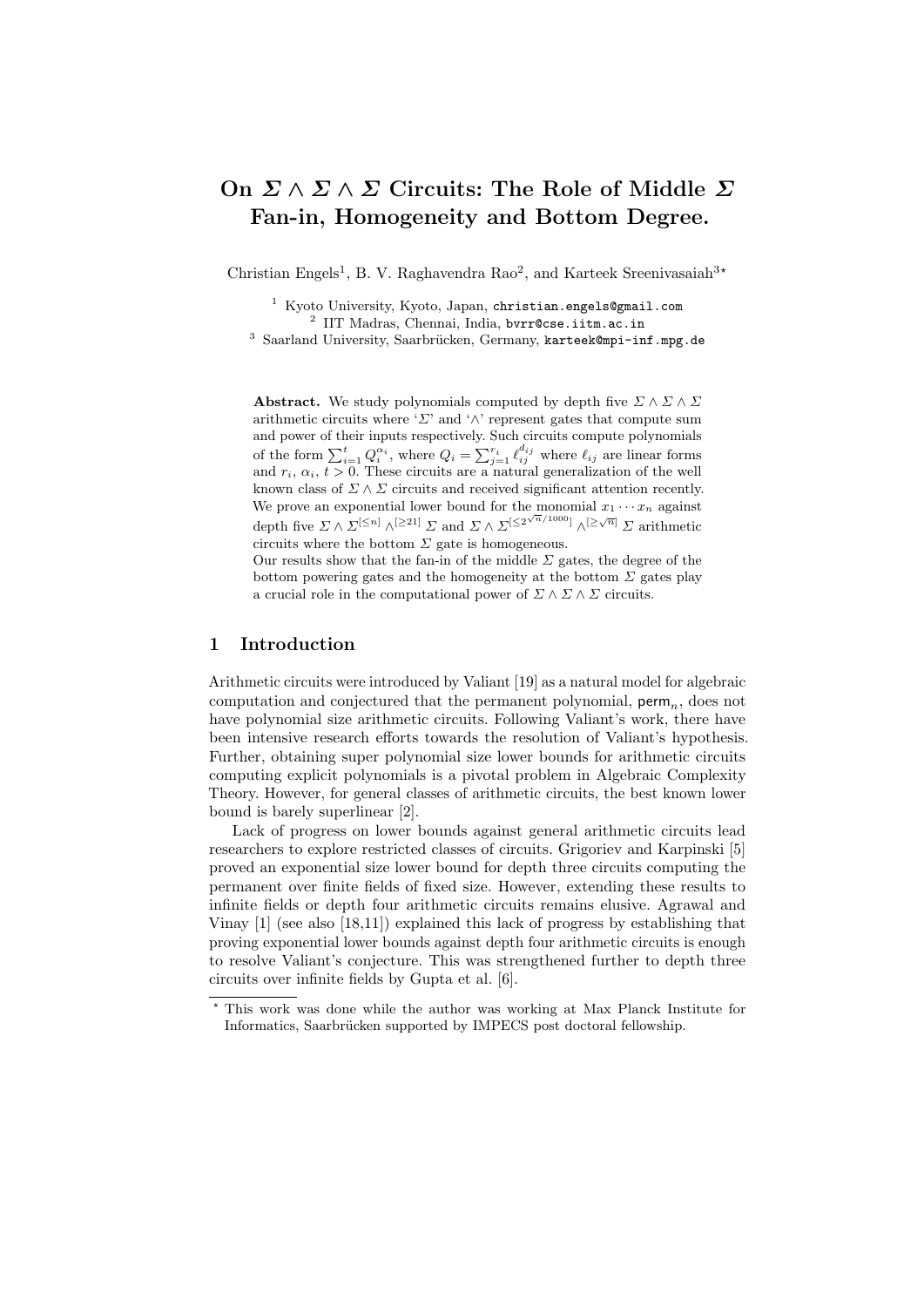# On  $\Sigma \wedge \Sigma \wedge \Sigma$  Circuits: The Role of Middle  $\Sigma$ Fan-in, Homogeneity and Bottom Degree.

Christian Engels<sup>1</sup>, B. V. Raghavendra Rao<sup>2</sup>, and Karteek Sreenivasaiah<sup>3\*</sup>

<sup>1</sup> Kyoto University, Kyoto, Japan, christian.engels@gmail.com <sup>2</sup> IIT Madras, Chennai, India, bvrr@cse.iitm.ac.in

<sup>3</sup> Saarland University, Saarbrücken, Germany, karteek@mpi-inf.mpg.de

**Abstract.** We study polynomials computed by depth five  $\Sigma \wedge \Sigma \wedge \Sigma$ arithmetic circuits where ' $\Sigma$ ' and ' $\wedge$ ' represent gates that compute sum and power of their inputs respectively. Such circuits compute polynomials of the form  $\sum_{i=1}^t Q_i^{\alpha_i}$ , where  $Q_i = \sum_{j=1}^{r_i} \ell_{ij}^{d_{ij}}$  where  $\ell_{ij}$  are linear forms and  $r_i$ ,  $\alpha_i$ ,  $t > 0$ . These circuits are a natural generalization of the well known class of  $\Sigma \wedge \Sigma$  circuits and received significant attention recently. We prove an exponential lower bound for the monomial  $x_1 \cdots x_n$  against depth five  $\Sigma \wedge \Sigma^{[\leq n]} \wedge^{[\geq 21]} \Sigma$  and  $\Sigma \wedge \Sigma^{[\leq 2^{\sqrt{n}}/1000]} \wedge^{[\geq \sqrt{n}]} \Sigma$  arithmetic circuits where the bottom  $\Sigma$  gate is homogeneous.

Our results show that the fan-in of the middle  $\Sigma$  gates, the degree of the bottom powering gates and the homogeneity at the bottom  $\Sigma$  gates play a crucial role in the computational power of  $\Sigma \wedge \Sigma \wedge \Sigma$  circuits.

## 1 Introduction

Arithmetic circuits were introduced by Valiant [\[19\]](#page-12-0) as a natural model for algebraic computation and conjectured that the permanent polynomial,  $\mathsf{perm}_n$ , does not have polynomial size arithmetic circuits. Following Valiant's work, there have been intensive research efforts towards the resolution of Valiant's hypothesis. Further, obtaining super polynomial size lower bounds for arithmetic circuits computing explicit polynomials is a pivotal problem in Algebraic Complexity Theory. However, for general classes of arithmetic circuits, the best known lower bound is barely superlinear [\[2\]](#page-11-0).

Lack of progress on lower bounds against general arithmetic circuits lead researchers to explore restricted classes of circuits. Grigoriev and Karpinski [\[5\]](#page-11-1) proved an exponential size lower bound for depth three circuits computing the permanent over finite fields of fixed size. However, extending these results to infinite fields or depth four arithmetic circuits remains elusive. Agrawal and Vinay [\[1\]](#page-11-2) (see also [\[18,](#page-12-1)[11\]](#page-12-2)) explained this lack of progress by establishing that proving exponential lower bounds against depth four arithmetic circuits is enough to resolve Valiant's conjecture. This was strengthened further to depth three circuits over infinite fields by Gupta et al. [\[6\]](#page-11-3).

<sup>?</sup> This work was done while the author was working at Max Planck Institute for Informatics, Saarbrücken supported by IMPECS post doctoral fellowship.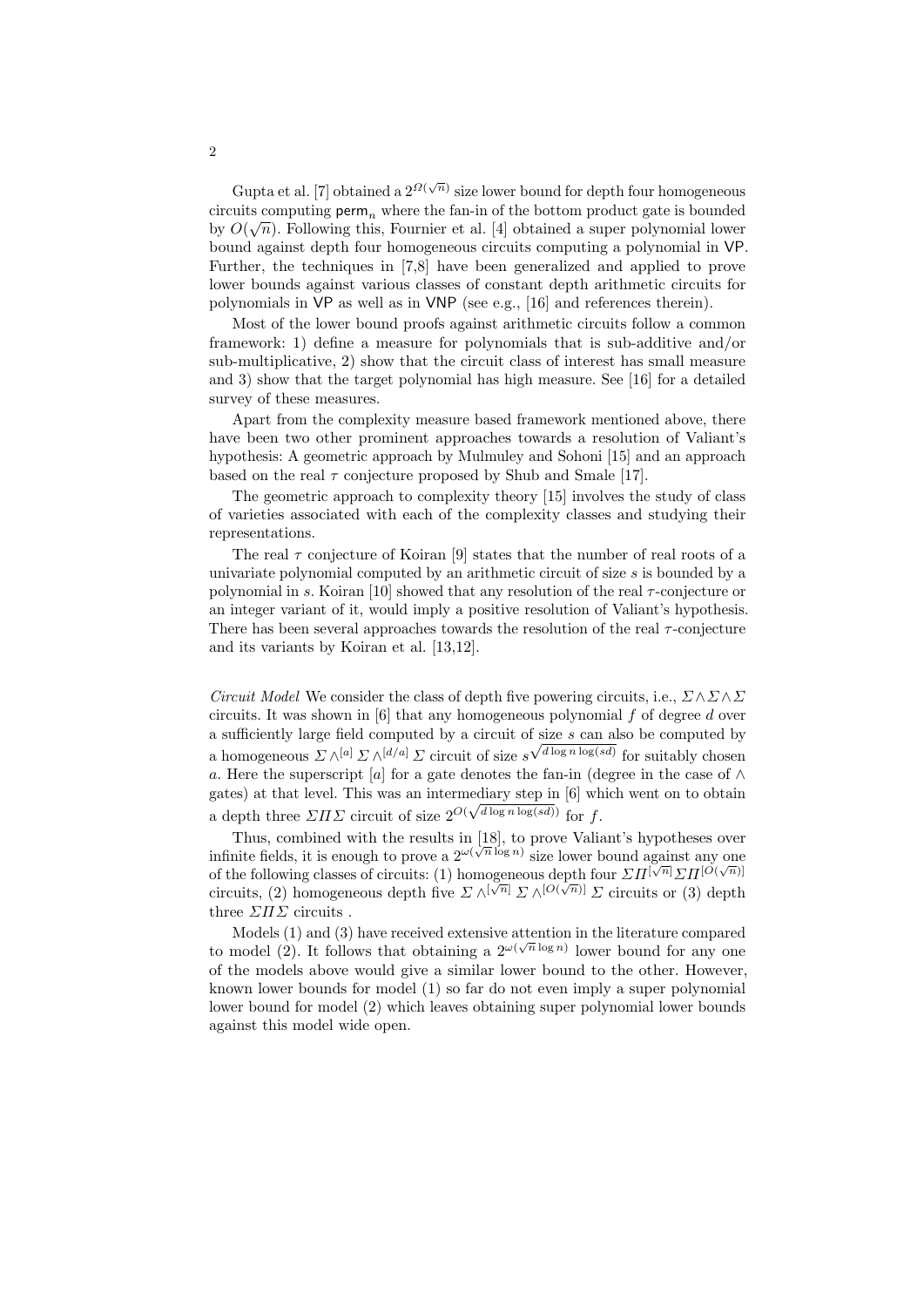Gupta et al. [\[7\]](#page-12-3) obtained a  $2^{\Omega(\sqrt{n})}$  size lower bound for depth four homogeneous circuits computing  $\mathsf{perm}_n$  where the fan-in of the bottom product gate is bounded by  $O(\sqrt{n})$ . Following this, Fournier et al. [\[4\]](#page-11-4) obtained a super polynomial lower bound against depth four homogeneous circuits computing a polynomial in VP. Further, the techniques in [\[7](#page-12-3)[,8\]](#page-12-4) have been generalized and applied to prove lower bounds against various classes of constant depth arithmetic circuits for polynomials in VP as well as in VNP (see e.g., [\[16\]](#page-12-5) and references therein).

Most of the lower bound proofs against arithmetic circuits follow a common framework: 1) define a measure for polynomials that is sub-additive and/or sub-multiplicative, 2) show that the circuit class of interest has small measure and 3) show that the target polynomial has high measure. See [\[16\]](#page-12-5) for a detailed survey of these measures.

Apart from the complexity measure based framework mentioned above, there have been two other prominent approaches towards a resolution of Valiant's hypothesis: A geometric approach by Mulmuley and Sohoni [\[15\]](#page-12-6) and an approach based on the real  $\tau$  conjecture proposed by Shub and Smale [\[17\]](#page-12-7).

The geometric approach to complexity theory [\[15\]](#page-12-6) involves the study of class of varieties associated with each of the complexity classes and studying their representations.

The real  $\tau$  conjecture of Koiran [\[9\]](#page-12-8) states that the number of real roots of a univariate polynomial computed by an arithmetic circuit of size s is bounded by a polynomial in s. Koiran [\[10\]](#page-12-9) showed that any resolution of the real  $\tau$ -conjecture or an integer variant of it, would imply a positive resolution of Valiant's hypothesis. There has been several approaches towards the resolution of the real  $\tau$ -conjecture and its variants by Koiran et al. [\[13,](#page-12-10)[12\]](#page-12-11).

*Circuit Model* We consider the class of depth five powering circuits, i.e.,  $\Sigma \wedge \Sigma \wedge \Sigma$ circuits. It was shown in  $[6]$  that any homogeneous polynomial f of degree d over a sufficiently large field computed by a circuit of size  $s$  can also be computed by a homogeneous  $\Sigma \wedge^{[a]} \Sigma \wedge^{[d/a]} \Sigma$  circuit of size  $s^{\sqrt{d \log n \log(sd)}}$  for suitably chosen a. Here the superscript [a] for a gate denotes the fan-in (degree in the case of  $\wedge$ gates) at that level. This was an intermediary step in [\[6\]](#page-11-3) which went on to obtain a depth three  $\Sigma \Pi \Sigma$  circuit of size  $2^{O(\sqrt{d \log n \log (sd)})}$  for f.

Thus, combined with the results in  $[18]$ , to prove Valiant's hypotheses over infinite fields, it is enough to prove a  $2^{\omega(\sqrt{n}\log n)}$  size lower bound against any one of the following classes of circuits: (1) homogeneous depth four  $\Sigma \Pi^{[\sqrt{n}]} \Sigma \Pi^{[O(\sqrt{n})]}$ circuits, (2) homogeneous depth five  $\Sigma \wedge^{[\sqrt{n}]} \Sigma \wedge^{[O(\sqrt{n})]} \Sigma$  circuits or (3) depth three  $\Sigma \Pi \Sigma$  circuits.

Models  $(1)$  and  $(3)$  have received extensive attention in the literature compared to model (2). It follows that obtaining a  $2^{\omega(\sqrt{n}\log n)}$  lower bound for any one of the models above would give a similar lower bound to the other. However, known lower bounds for model (1) so far do not even imply a super polynomial lower bound for model (2) which leaves obtaining super polynomial lower bounds against this model wide open.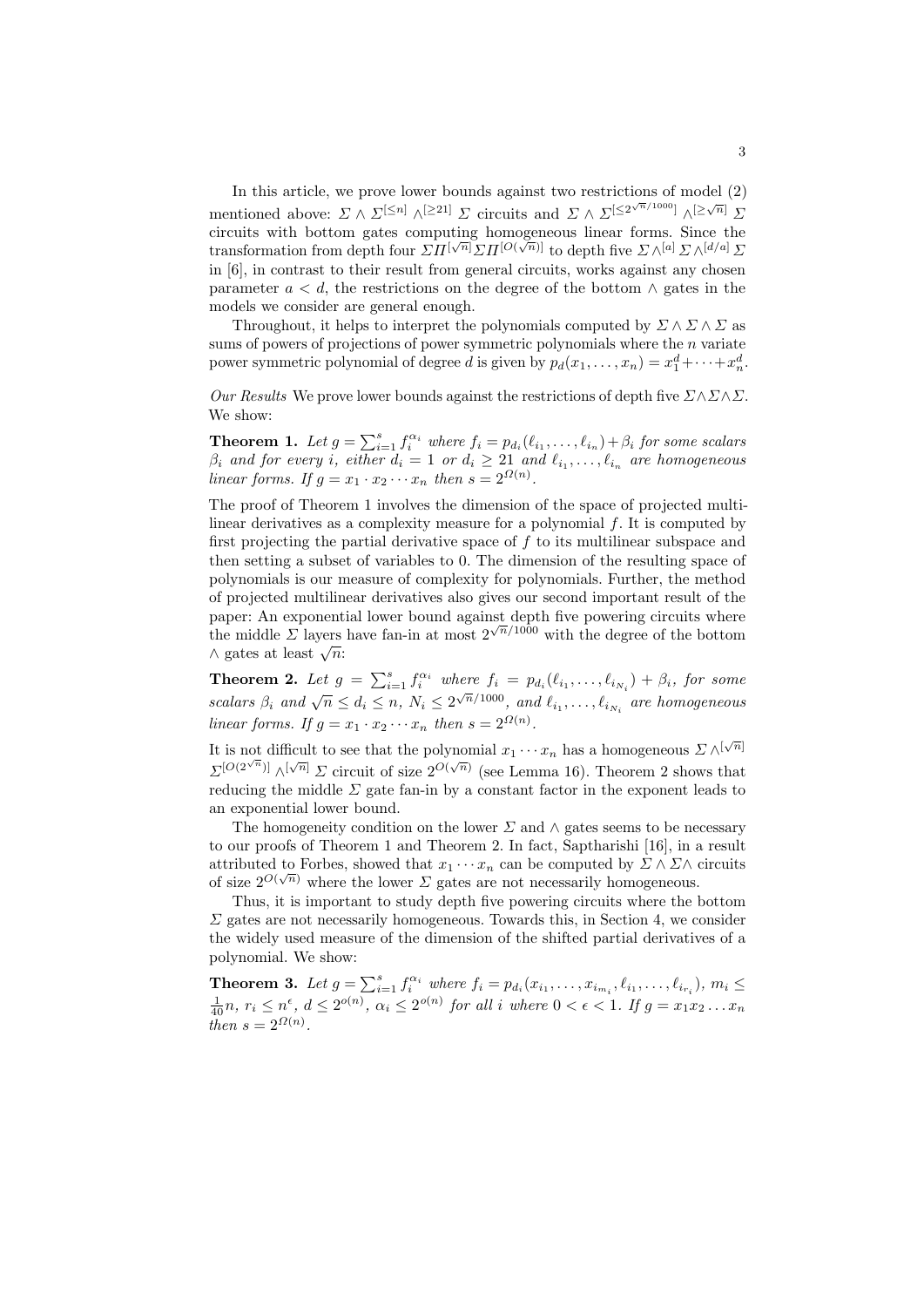In this article, we prove lower bounds against two restrictions of model (2) mentioned above:  $\sum \wedge \sum^{[\leq n]} \wedge^{[\geq 21]} \sum$  circuits and  $\sum \wedge \sum^{[\leq 2^{\sqrt{n}}/1000]} \wedge^{[\geq \sqrt{n}]} \sum$ circuits with bottom gates computing homogeneous linear forms. Since the transformation from depth four  $\Sigma \Pi^{[\sqrt{n}]} \Sigma \Pi^{[O(\sqrt{n})]}$  to depth five  $\Sigma \wedge^{[a]} \Sigma \wedge^{[d/a]} \Sigma$ in [\[6\]](#page-11-3), in contrast to their result from general circuits, works against any chosen parameter  $a < d$ , the restrictions on the degree of the bottom  $\wedge$  gates in the models we consider are general enough.

Throughout, it helps to interpret the polynomials computed by  $\Sigma \wedge \Sigma \wedge \Sigma$  as sums of powers of projections of power symmetric polynomials where the  $n$  variate power symmetric polynomial of degree d is given by  $p_d(x_1, \ldots, x_n) = x_1^d + \cdots + x_n^d$ .

<span id="page-2-0"></span>Our Results We prove lower bounds against the restrictions of depth five  $\Sigma \wedge \Sigma \wedge \Sigma$ . We show:

**Theorem 1.** Let  $g = \sum_{i=1}^{s} f_i^{\alpha_i}$  where  $f_i = p_{d_i}(\ell_{i_1}, \ldots, \ell_{i_n}) + \beta_i$  for some scalars  $\beta_i$  and for every i, either  $d_i = 1$  or  $d_i \geq 21$  and  $\ell_{i_1}, \ldots, \ell_{i_n}$  are homogeneous linear forms. If  $g = x_1 \cdot x_2 \cdots x_n$  then  $s = 2^{\Omega(n)}$ .

The proof of Theorem [1](#page-2-0) involves the dimension of the space of projected multilinear derivatives as a complexity measure for a polynomial  $f$ . It is computed by first projecting the partial derivative space of  $f$  to its multilinear subspace and then setting a subset of variables to 0. The dimension of the resulting space of polynomials is our measure of complexity for polynomials. Further, the method of projected multilinear derivatives also gives our second important result of the paper: An exponential lower bound against depth five powering circuits where the middle  $\Sigma$  layers have fan-in at most  $2^{\sqrt{n}/1000}$  with the degree of the bottom  $\land$  gates at least  $\sqrt{n}$ :

<span id="page-2-1"></span>**Theorem 2.** Let  $g = \sum_{i=1}^{s} f_i^{\alpha_i}$  where  $f_i = p_{d_i}(\ell_{i_1}, \ldots, \ell_{i_{N_i}}) + \beta_i$ , for some scalars  $\beta_i$  and  $\sqrt{n} \leq d_i \leq n$ ,  $N_i \leq 2^{\sqrt{n}/1000}$ , and  $\ell_{i_1}, \ldots, \ell_{i_{N_i}}$  are homogeneous linear forms. If  $g = x_1 \cdot x_2 \cdots x_n$  then  $s = 2^{\Omega(n)}$ .

It is not difficult to see that the polynomial  $x_1 \cdots x_n$  has a homogeneous  $\Sigma \wedge^{[\sqrt{n}]}$  $\Sigma^{[O(2^{\sqrt{n}})]}\wedge^{[\sqrt{n}]}$   $\Sigma$  circuit of size  $2^{O(\sqrt{n})}$  (see Lemma [16\)](#page-9-0). Theorem [2](#page-2-1) shows that reducing the middle  $\Sigma$  gate fan-in by a constant factor in the exponent leads to an exponential lower bound.

The homogeneity condition on the lower  $\Sigma$  and  $\wedge$  gates seems to be necessary to our proofs of Theorem [1](#page-2-0) and Theorem [2.](#page-2-1) In fact, Saptharishi [\[16\]](#page-12-5), in a result attributed to Forbes, showed that  $x_1 \cdots x_n$  can be computed by  $\Sigma \wedge \Sigma \wedge$  circuits of size  $2^{O(\sqrt{n})}$  where the lower  $\Sigma$  gates are not necessarily homogeneous.

Thus, it is important to study depth five powering circuits where the bottom  $\Sigma$  gates are not necessarily homogeneous. Towards this, in Section [4,](#page-10-0) we consider the widely used measure of the dimension of the shifted partial derivatives of a polynomial. We show:

<span id="page-2-2"></span>**Theorem 3.** Let  $g = \sum_{i=1}^{s} f_i^{\alpha_i}$  where  $f_i = p_{d_i}(x_{i_1}, \ldots, x_{i_{m_i}}, \ell_{i_1}, \ldots, \ell_{i_{r_i}}), m_i \leq$  $\frac{1}{40}n, r_i \leq n^{\epsilon}, d \leq 2^{o(n)}, \alpha_i \leq 2^{o(n)}$  for all i where  $0 < \epsilon < 1$ . If  $g = x_1 x_2 \ldots x_n$ then  $s = 2^{\Omega(n)}$ .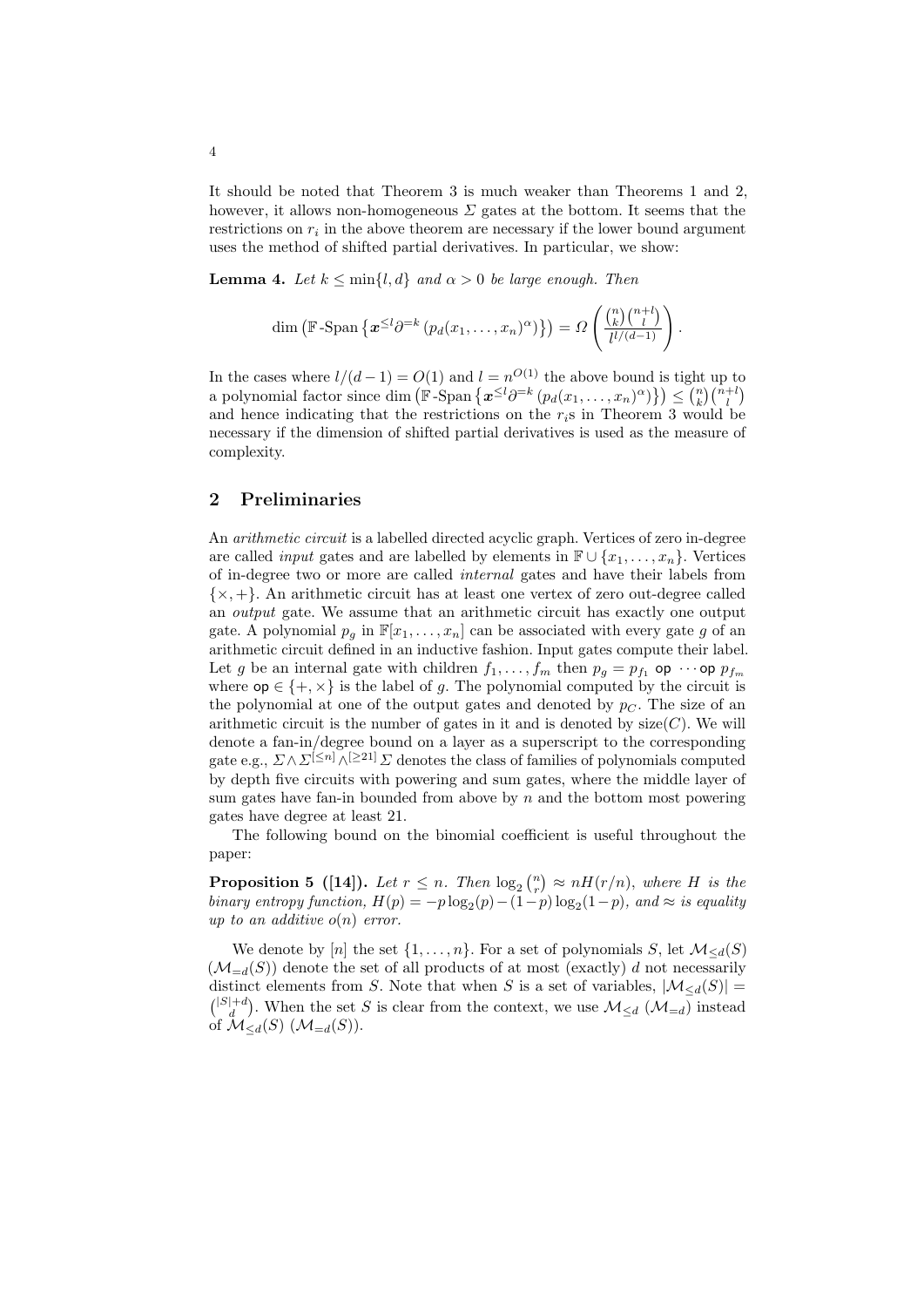It should be noted that Theorem [3](#page-2-2) is much weaker than Theorems [1](#page-2-0) and [2,](#page-2-1) however, it allows non-homogeneous  $\Sigma$  gates at the bottom. It seems that the restrictions on  $r_i$  in the above theorem are necessary if the lower bound argument uses the method of shifted partial derivatives. In particular, we show:

<span id="page-3-0"></span>**Lemma 4.** Let  $k \leq \min\{l, d\}$  and  $\alpha > 0$  be large enough. Then

$$
\dim\left(\mathbb{F}\text{-Span}\left\{\boldsymbol{x}^{\leq l}\partial^{=k}\left(p_d(x_1,\ldots,x_n)^\alpha\right)\right\}\right)=\Omega\left(\frac{\binom{n}{k}\binom{n+l}{l}}{l^{l/(d-1)}}\right).
$$

In the cases where  $l/(d-1) = O(1)$  and  $l = n^{O(1)}$  the above bound is tight up to a polynomial factor since dim  $\left(\mathbb{F}\text{-Span}\left\{\mathbf{x}^{\leq l}\partial^{=k}\left(p_d(x_1,\ldots,x_n)^\alpha\right)\right\}\right) \leq \binom{n}{k}\binom{n+l}{l}$ and hence indicating that the restrictions on the  $r_i$ s in Theorem [3](#page-2-2) would be necessary if the dimension of shifted partial derivatives is used as the measure of complexity.

### 2 Preliminaries

An *arithmetic circuit* is a labelled directed acyclic graph. Vertices of zero in-degree are called *input* gates and are labelled by elements in  $\mathbb{F} \cup \{x_1, \ldots, x_n\}$ . Vertices of in-degree two or more are called internal gates and have their labels from  $\{x, +\}$ . An arithmetic circuit has at least one vertex of zero out-degree called an output gate. We assume that an arithmetic circuit has exactly one output gate. A polynomial  $p_q$  in  $\mathbb{F}[x_1, \ldots, x_n]$  can be associated with every gate g of an arithmetic circuit defined in an inductive fashion. Input gates compute their label. Let g be an internal gate with children  $f_1, \ldots, f_m$  then  $p_g = p_{f_1}$  op  $\cdots$  op  $p_{f_m}$ where  $op \in \{+, \times\}$  is the label of g. The polynomial computed by the circuit is the polynomial at one of the output gates and denoted by  $p<sub>C</sub>$ . The size of an arithmetic circuit is the number of gates in it and is denoted by  $size(C)$ . We will denote a fan-in/degree bound on a layer as a superscript to the corresponding gate e.g.,  $\Sigma \wedge \Sigma^{[\leq n]} \wedge^{[\geq 21]} \Sigma$  denotes the class of families of polynomials computed by depth five circuits with powering and sum gates, where the middle layer of sum gates have fan-in bounded from above by  $n$  and the bottom most powering gates have degree at least 21.

<span id="page-3-1"></span>The following bound on the binomial coefficient is useful throughout the paper:

**Proposition 5** ([\[14\]](#page-12-12)). Let  $r \leq n$ . Then  $\log_2 {n \choose r} \approx nH(r/n)$ , where H is the binary entropy function,  $H(p) = -p \log_2(p) - (1-p) \log_2(1-p)$ , and  $\approx$  is equality up to an additive  $o(n)$  error.

We denote by [n] the set  $\{1, \ldots, n\}$ . For a set of polynomials S, let  $\mathcal{M}_{\le d}(S)$  $(\mathcal{M}_{=d}(S))$  denote the set of all products of at most (exactly) d not necessarily distinct elements from S. Note that when S is a set of variables,  $|\mathcal{M}_{\leq d}(S)| =$  $\binom{|S|+d}{d}$ . When the set S is clear from the context, we use  $\mathcal{M}_{\leq d}(\mathcal{M}_{=d})$  instead of  $\mathcal{M}_{\leq d}(S)$   $(\mathcal{M}_{=d}(S))$ .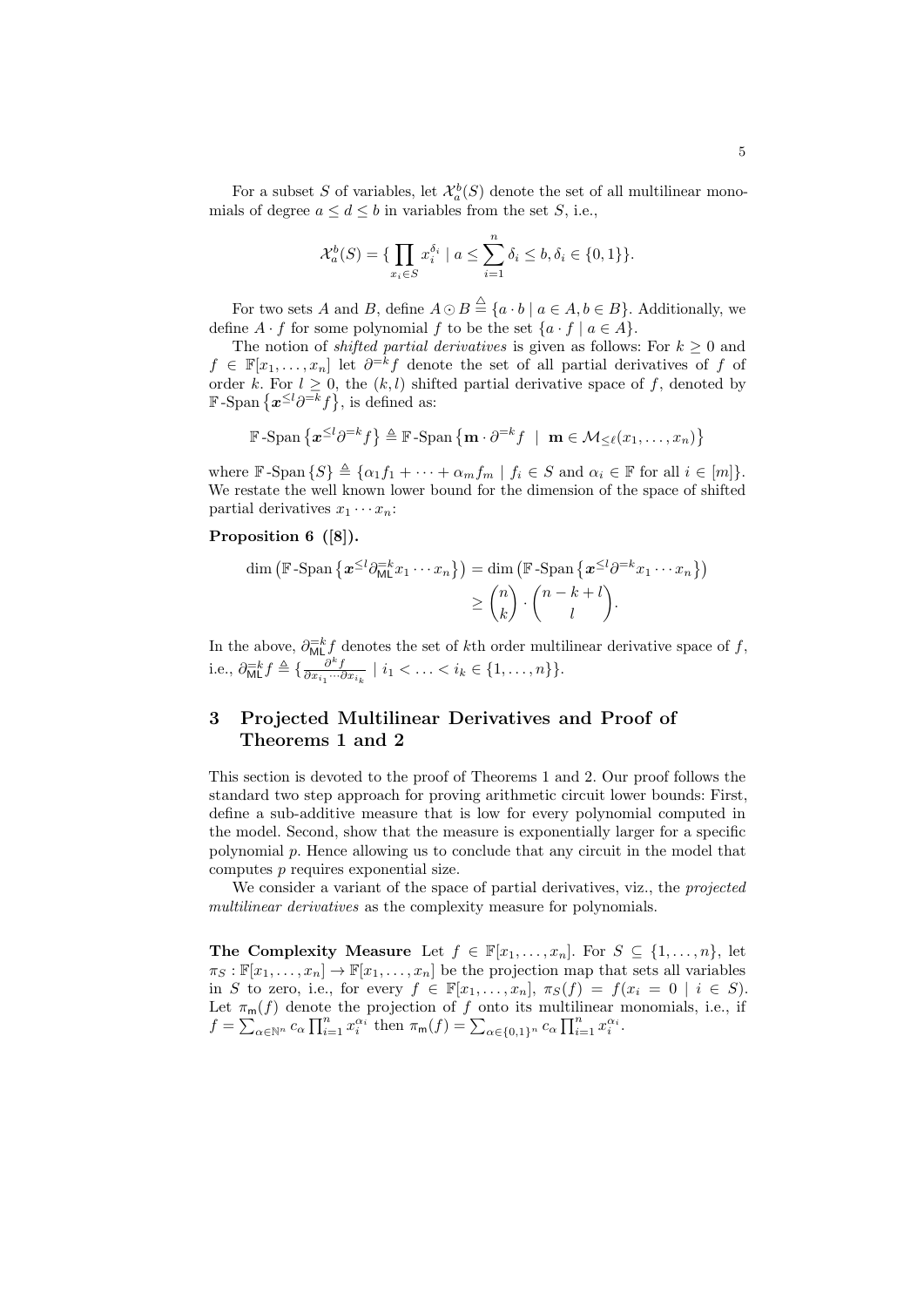For a subset S of variables, let  $\mathcal{X}_a^b(S)$  denote the set of all multilinear monomials of degree  $a \leq d \leq b$  in variables from the set S, i.e.,

$$
\mathcal{X}_{a}^{b}(S) = \{ \prod_{x_i \in S} x_i^{\delta_i} \mid a \le \sum_{i=1}^{n} \delta_i \le b, \delta_i \in \{0, 1\} \}.
$$

For two sets A and B, define  $A \odot B \stackrel{\triangle}{=} \{a \cdot b \mid a \in A, b \in B\}$ . Additionally, we define  $A \cdot f$  for some polynomial f to be the set  $\{a \cdot f \mid a \in A\}$ .

The notion of *shifted partial derivatives* is given as follows: For  $k \geq 0$  and  $f \in \mathbb{F}[x_1,\ldots,x_n]$  let  $\partial^{-k} f$  denote the set of all partial derivatives of f of order k. For  $l \geq 0$ , the  $(k, l)$  shifted partial derivative space of f, denoted by F-Span  $\{\boldsymbol{x}^{\leq l}\partial^{=k}f\}$ , is defined as:

$$
\mathbb{F}\text{-Span}\left\{\mathbf{x}^{\leq l}\partial^{=k}f\right\}\triangleq\mathbb{F}\text{-Span}\left\{\mathbf{m}\cdot\partial^{=k}f\;\mid\;\mathbf{m}\in\mathcal{M}_{\leq\ell}(x_1,\ldots,x_n)\right\}
$$

where  $\mathbb{F}$ -Span  $\{S\} \triangleq {\alpha_1 f_1 + \cdots + \alpha_m f_m \mid f_i \in S \text{ and } \alpha_i \in \mathbb{F} \text{ for all } i \in [m] }$ . We restate the well known lower bound for the dimension of the space of shifted partial derivatives  $x_1 \cdots x_n$ :

### Proposition 6 ([\[8\]](#page-12-4)).

<span id="page-4-0"></span>
$$
\dim (\mathbb{F}\text{-Span}\left\{ \boldsymbol{x}^{\leq l} \partial_{\text{ML}}^{-k} x_1 \cdots x_n \right\}) = \dim (\mathbb{F}\text{-Span}\left\{ \boldsymbol{x}^{\leq l} \partial^{-k} x_1 \cdots x_n \right\})
$$

$$
\geq {n \choose k} \cdot {n-k+l \choose l}.
$$

In the above,  $\partial_{ML}^{-k} f$  denotes the set of kth order multilinear derivative space of f, i.e.,  $\partial_{\text{ML}}^{-k} f \triangleq \{ \frac{\partial^k f}{\partial x_{i_1} \cdots \partial x_{i_k}} \mid i_1 < \ldots < i_k \in \{1, \ldots, n\} \}.$ 

# 3 Projected Multilinear Derivatives and Proof of Theorems [1](#page-2-0) and [2](#page-2-1)

This section is devoted to the proof of Theorems [1](#page-2-0) and [2.](#page-2-1) Our proof follows the standard two step approach for proving arithmetic circuit lower bounds: First, define a sub-additive measure that is low for every polynomial computed in the model. Second, show that the measure is exponentially larger for a specific polynomial p. Hence allowing us to conclude that any circuit in the model that computes p requires exponential size.

We consider a variant of the space of partial derivatives, viz., the *projected* multilinear derivatives as the complexity measure for polynomials.

The Complexity Measure Let  $f \in \mathbb{F}[x_1, \ldots, x_n]$ . For  $S \subseteq \{1, \ldots, n\}$ , let  $\pi_S : \mathbb{F}[x_1, \ldots, x_n] \to \mathbb{F}[x_1, \ldots, x_n]$  be the projection map that sets all variables in S to zero, i.e., for every  $f \in \mathbb{F}[x_1,\ldots,x_n]$ ,  $\pi_S(f) = f(x_i = 0 \mid i \in S)$ . Let  $\pi_m(f)$  denote the projection of f onto its multilinear monomials, i.e., if  $f = \sum_{\alpha \in \mathbb{N}^n} c_{\alpha} \prod_{i=1}^n x_i^{\alpha_i}$  then  $\pi_{\mathsf{m}}(f) = \sum_{\alpha \in \{0,1\}^n} c_{\alpha} \prod_{i=1}^n x_i^{\alpha_i}$ .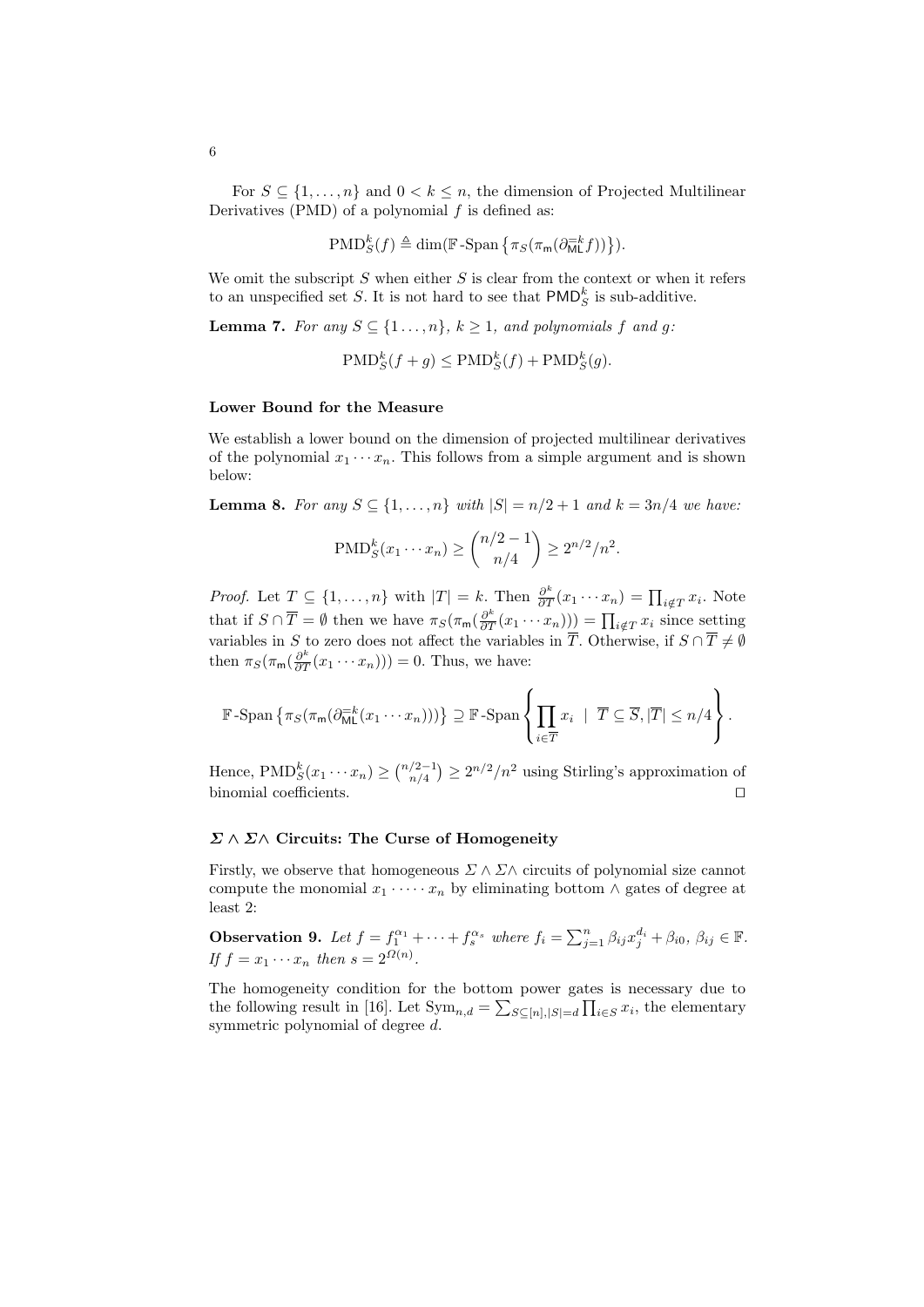For  $S \subseteq \{1, \ldots, n\}$  and  $0 < k \leq n$ , the dimension of Projected Multilinear Derivatives (PMD) of a polynomial  $f$  is defined as:

$$
\mathrm{PMD}_{S}^{k}(f) \triangleq \dim(\mathbb{F}\text{-}\mathrm{Span}\left\{\pi_{S}(\pi_{\mathsf{m}}(\partial_{\mathsf{ML}}^{-k}f))\right\}).
$$

We omit the subscript  $S$  when either  $S$  is clear from the context or when it refers to an unspecified set S. It is not hard to see that  $\mathsf{PMD}_S^k$  is sub-additive.

**Lemma 7.** For any  $S \subseteq \{1 \ldots, n\}$ ,  $k \geq 1$ , and polynomials f and g:

<span id="page-5-1"></span> $\text{PMD}_{S}^{k}(f+g) \leq \text{PMD}_{S}^{k}(f) + \text{PMD}_{S}^{k}(g).$ 

#### Lower Bound for the Measure

<span id="page-5-2"></span>We establish a lower bound on the dimension of projected multilinear derivatives of the polynomial  $x_1 \cdots x_n$ . This follows from a simple argument and is shown below:

**Lemma 8.** For any  $S \subseteq \{1, ..., n\}$  with  $|S| = n/2 + 1$  and  $k = 3n/4$  we have:

$$
\text{PMD}_{S}^{k}(x_{1}\cdots x_{n}) \ge {n/2 - 1 \choose n/4} \ge 2^{n/2}/n^{2}.
$$

*Proof.* Let  $T \subseteq \{1, ..., n\}$  with  $|T| = k$ . Then  $\frac{\partial^k}{\partial T}(x_1 \cdots x_n) = \prod_{i \notin T} x_i$ . Note that if  $S \cap \overline{T} = \emptyset$  then we have  $\pi_S(\pi_m(\frac{\partial^k}{\partial T}(x_1 \cdots x_n))) = \prod_{i \notin T} x_i$  since setting variables in S to zero does not affect the variables in  $\overline{T}$ . Otherwise, if  $S \cap \overline{T} \neq \emptyset$ then  $\pi_S(\pi_{\mathsf{m}}(\frac{\partial^k}{\partial T}(x_1\cdots x_n)))=0$ . Thus, we have:

$$
\mathbb{F}\text{-Span}\left\{\pi_S(\pi_m(\partial_{\text{ML}}^{-k}(x_1\cdots x_n)))\right\}\supseteq \mathbb{F}\text{-Span}\left\{\prod_{i\in\overline{T}}x_i \mid \overline{T}\subseteq \overline{S}, |\overline{T}|\leq n/4\right\}.
$$

Hence,  $\text{PMD}_{S}^{k}(x_1 \cdots x_n) \ge \binom{n/2-1}{n/4} \ge 2^{n/2}/n^2$  using Stirling's approximation of binomial coefficients.  $\Box$ 

### $\Sigma \wedge \Sigma \wedge$  Circuits: The Curse of Homogeneity

<span id="page-5-0"></span>Firstly, we observe that homogeneous  $\Sigma \wedge \Sigma \wedge$  circuits of polynomial size cannot compute the monomial  $x_1 \cdot \cdots \cdot x_n$  by eliminating bottom  $\wedge$  gates of degree at least 2:

**Observation 9.** Let  $f = f_1^{\alpha_1} + \cdots + f_s^{\alpha_s}$  where  $f_i = \sum_{j=1}^n \beta_{ij} x_j^{d_i} + \beta_{i0}, \beta_{ij} \in \mathbb{F}$ . If  $f = x_1 \cdots x_n$  then  $s = 2^{\Omega(n)}$ .

The homogeneity condition for the bottom power gates is necessary due to the following result in [\[16\]](#page-12-5). Let  $\text{Sym}_{n,d} = \sum_{S \subseteq [n], |S| = d} \prod_{i \in S} x_i$ , the elementary symmetric polynomial of degree d.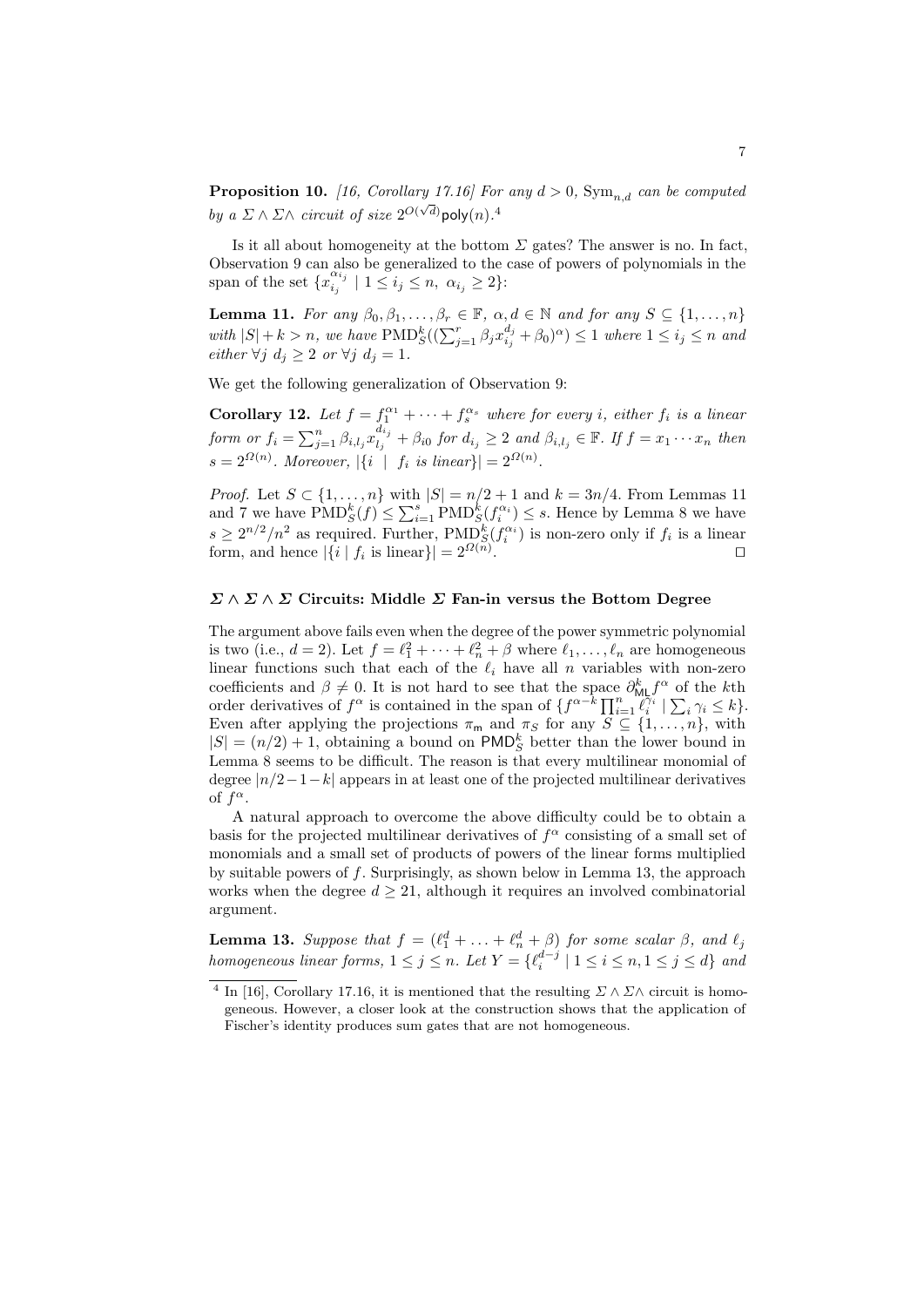**Proposition 10.** [\[16,](#page-12-5) Corollary 17.16] For any  $d > 0$ ,  $Sym_{n,d}$  can be computed by a  $\Sigma \wedge \Sigma \wedge$  circuit of size  $2^{O(\sqrt{d})}$ poly $(n)$ .<sup>[4](#page-6-0)</sup>

<span id="page-6-1"></span>Is it all about homogeneity at the bottom  $\Sigma$  gates? The answer is no. In fact, Observation [9](#page-5-0) can also be generalized to the case of powers of polynomials in the span of the set  $\{x_i^{\alpha_i}\}$  $\begin{cases} \alpha_{i_j} \\ i_j \end{cases}$  |  $1 \leq i_j \leq n, \alpha_{i_j} \geq 2$  }:

**Lemma 11.** For any  $\beta_0, \beta_1, \ldots, \beta_r \in \mathbb{F}$ ,  $\alpha, d \in \mathbb{N}$  and for any  $S \subseteq \{1, \ldots, n\}$ with  $|S| + k > n$ , we have  $\text{PMD}_{S}^k((\sum_{j=1}^r \beta_j x_{i_j}^{d_j} + \beta_0)^{\alpha}) \leq 1$  where  $1 \leq i_j \leq n$  and either  $\forall j \ d_j \geq 2 \ or \ \forall j \ d_j = 1.$ 

We get the following generalization of Observation [9:](#page-5-0)

**Corollary 12.** Let  $f = f_1^{\alpha_1} + \cdots + f_s^{\alpha_s}$  where for every *i*, either  $f_i$  is a linear form or  $f_i = \sum_{j=1}^n \beta_{i,l_j} x_{l_j}^{d_{i_j}}$  $\begin{array}{l} a_{i_j} \ a_{i_j} + \beta_{i0} \ for \ d_{i_j} \geq 2 \ and \ \beta_{i,l_j} \in \mathbb{F}. \ If \ f = x_1 \cdots x_n \ then \end{array}$  $s = 2^{\Omega(n)}$ . Moreover,  $|\{i \mid f_i \text{ is linear}\}| = 2^{\Omega(n)}$ .

*Proof.* Let  $S \subset \{1, \ldots, n\}$  with  $|S| = n/2 + 1$  and  $k = 3n/4$ . From Lemmas [11](#page-6-1) and [7](#page-5-1) we have  $\text{PMD}_{S}^{k}(f) \leq \sum_{i=1}^{s} \text{PMD}_{S}^{k}(f_{i}^{\alpha_{i}}) \leq s$ . Hence by Lemma [8](#page-5-2) we have  $s \geq 2^{n/2}/n^2$  as required. Further, PMD<sup>k</sup> $(S \mid f_i^{\alpha_i})$  is non-zero only if  $f_i$  is a linear form, and hence  $|\{i \mid f_i \text{ is linear}\}| = 2^{\Omega(n)}$ . **In the case of the contract of the contract of the contract of the contract of the contract of the contract of the contract of the contract of the contract of the contract of the contract of the contract of the contract** 

### $\Sigma \wedge \Sigma \wedge \Sigma$  Circuits: Middle  $\Sigma$  Fan-in versus the Bottom Degree

The argument above fails even when the degree of the power symmetric polynomial is two (i.e.,  $d = 2$ ). Let  $f = \ell_1^2 + \cdots + \ell_n^2 + \beta$  where  $\ell_1, \ldots, \ell_n$  are homogeneous linear functions such that each of the  $\ell_i$  have all n variables with non-zero coefficients and  $\beta \neq 0$ . It is not hard to see that the space  $\partial_{ML}^k f^{\alpha}$  of the kth order derivatives of  $f^{\alpha}$  is contained in the span of  $\{f^{\alpha-k}\prod_{i=1}^n \ell_i^{\gamma_i} \mid \sum_i \gamma_i \leq k\}.$ Even after applying the projections  $\pi_m$  and  $\pi_S$  for any  $S \subseteq \{1, \ldots, n\}$ , with  $|S| = (n/2) + 1$ , obtaining a bound on PMD<sub>S</sub> better than the lower bound in Lemma [8](#page-5-2) seems to be difficult. The reason is that every multilinear monomial of degree  $|n/2-1-k|$  appears in at least one of the projected multilinear derivatives of  $f^{\alpha}$ .

A natural approach to overcome the above difficulty could be to obtain a basis for the projected multilinear derivatives of  $f^{\alpha}$  consisting of a small set of monomials and a small set of products of powers of the linear forms multiplied by suitable powers of  $f$ . Surprisingly, as shown below in Lemma [13,](#page-6-2) the approach works when the degree  $d \geq 21$ , although it requires an involved combinatorial argument.

<span id="page-6-2"></span>**Lemma 13.** Suppose that  $f = (\ell_1^d + \ldots + \ell_n^d + \beta)$  for some scalar  $\beta$ , and  $\ell_j$ homogeneous linear forms,  $1 \leq j \leq n$ . Let  $Y = \{\ell_i^{d-j} \mid 1 \leq i \leq n, 1 \leq j \leq d\}$  and

<span id="page-6-0"></span><sup>&</sup>lt;sup>4</sup> In [\[16\]](#page-12-5), Corollary 17.16, it is mentioned that the resulting  $\Sigma \wedge \Sigma \wedge$  circuit is homogeneous. However, a closer look at the construction shows that the application of Fischer's identity produces sum gates that are not homogeneous.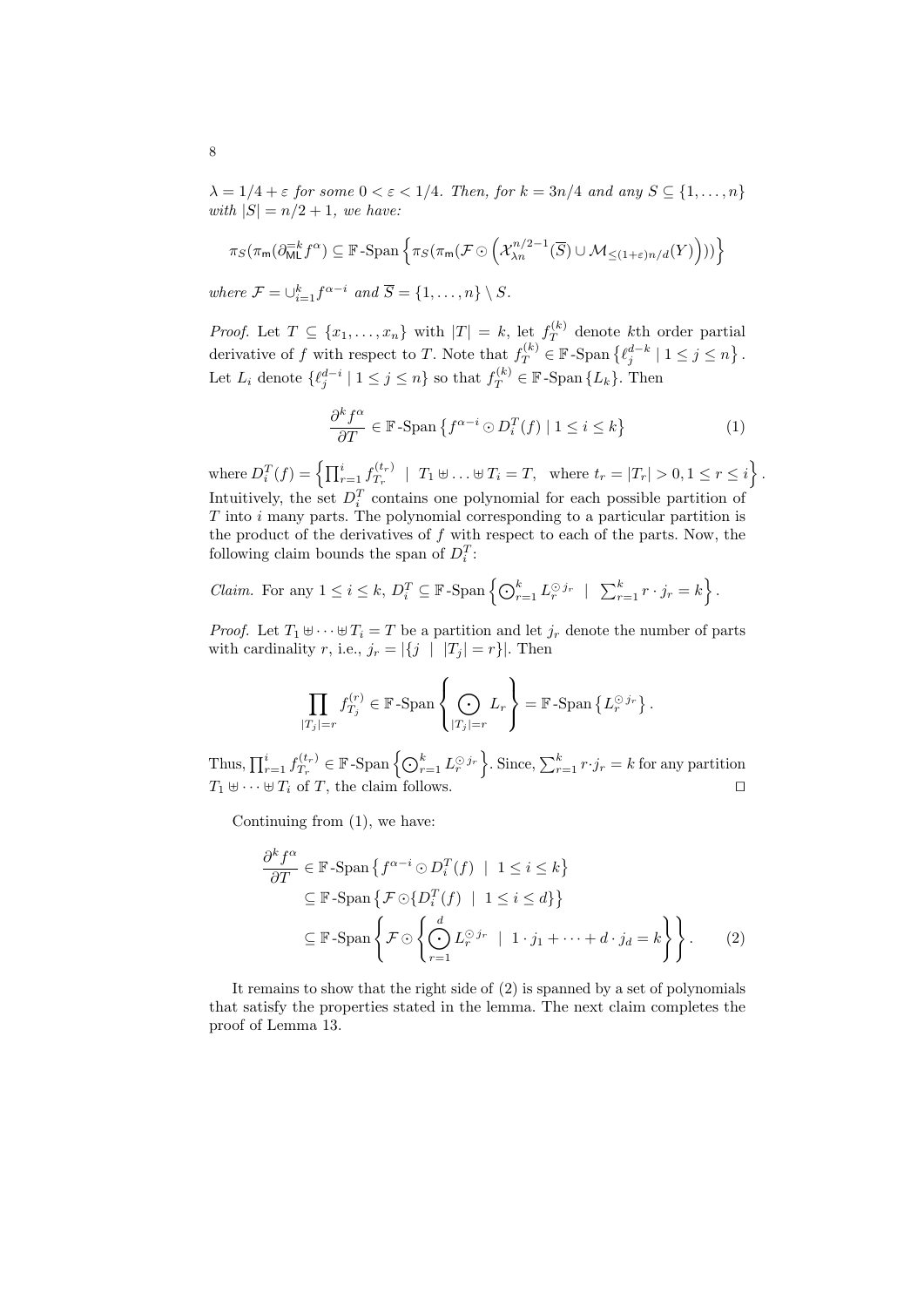$\lambda = 1/4 + \varepsilon$  for some  $0 < \varepsilon < 1/4$ . Then, for  $k = 3n/4$  and any  $S \subseteq \{1, ..., n\}$ with  $|S| = n/2 + 1$ , we have:

$$
\pi_S(\pi_m(\partial_{\text{ML}}^{-k} f^{\alpha}) \subseteq \mathbb{F}\text{-Span}\left\{\pi_S(\pi_m(\mathcal{F}\odot \left( \mathcal{X}_{\lambda n}^{n/2-1}(\overline{S}) \cup \mathcal{M}_{\leq (1+\varepsilon)n/d}(Y)\right)))\right\}
$$

where  $\mathcal{F} = \bigcup_{i=1}^k f^{\alpha-i}$  and  $\overline{S} = \{1, \ldots, n\} \setminus S$ .

*Proof.* Let  $T \subseteq \{x_1, \ldots, x_n\}$  with  $|T| = k$ , let  $f_T^{(k)}$  $T^{(\kappa)}$  denote kth order partial derivative of f with respect to T. Note that  $f_T^{(k)} \in \mathbb{F}$ -Span  $\{\ell_j^{d-k} \mid 1 \le j \le n\}$ . Let  $L_i$  denote  $\{\ell_j^{d-i} \mid 1 \leq j \leq n\}$  so that  $f_T^{(k)} \in \mathbb{F}$ -Span  $\{L_k\}$ . Then

<span id="page-7-0"></span>
$$
\frac{\partial^k f^\alpha}{\partial T} \in \mathbb{F}\text{-Span}\left\{f^{\alpha-i} \odot D_i^T(f) \mid 1 \le i \le k\right\} \tag{1}
$$

where  $D_i^T(f) = \left\{ \prod_{r=1}^i f_{T_r}^{(t_r)} \right\}$  $T_r^{(t_r)} \mid T_1 \uplus \ldots \uplus T_i = T, \text{ where } t_r = |T_r| > 0, 1 \le r \le i \}$ . Intuitively, the set  $D_i^T$  contains one polynomial for each possible partition of  $T$  into  $i$  many parts. The polynomial corresponding to a particular partition is the product of the derivatives of  $f$  with respect to each of the parts. Now, the following claim bounds the span of  $D_i^T$ :

*Claim.* For any 
$$
1 \leq i \leq k
$$
,  $D_i^T \subseteq \mathbb{F}$ -Span  $\left\{ \bigodot_{r=1}^k L_r^{\odot j_r} \mid \sum_{r=1}^k r \cdot j_r = k \right\}$ .

*Proof.* Let  $T_1 \oplus \cdots \oplus T_i = T$  be a partition and let  $j_r$  denote the number of parts with cardinality r, i.e.,  $j_r = |\{j \mid |T_j| = r\}|$ . Then

$$
\prod_{|T_j|=r} f_{T_j}^{(r)} \in \mathbb{F}\text{-}\mathrm{Span}\left\{\bigodot_{|T_j|=r} L_r\right\} = \mathbb{F}\text{-}\mathrm{Span}\left\{L_r^{\odot j_r}\right\}.
$$

Thus,  $\prod_{r=1}^{i} f_{T_r}^{(t_r)}$  $T_r^{(t_r)} \in \mathbb{F}$ -Span  $\left\{\bigodot_{r=1}^k L_r^{\odot j_r}\right\}$ . Since,  $\sum_{r=1}^k r \cdot j_r = k$  for any partition  $T_1 \uplus \cdots \uplus T_i$  of T, the claim follows.

Continuing from [\(1\)](#page-7-0), we have:

<span id="page-7-1"></span>
$$
\frac{\partial^k f^{\alpha}}{\partial T} \in \mathbb{F}\text{-Span}\left\{f^{\alpha-i} \odot D_i^T(f) \mid 1 \le i \le k\right\}
$$

$$
\subseteq \mathbb{F}\text{-Span}\left\{\mathcal{F} \odot \{D_i^T(f) \mid 1 \le i \le d\}\right\}
$$

$$
\subseteq \mathbb{F}\text{-Span}\left\{\mathcal{F} \odot \left\{\bigodot_{r=1}^d L_r^{\odot j_r} \mid 1 \cdot j_1 + \dots + d \cdot j_d = k\right\}\right\}.
$$
 (2)

It remains to show that the right side of [\(2\)](#page-7-1) is spanned by a set of polynomials that satisfy the properties stated in the lemma. The next claim completes the proof of Lemma [13.](#page-6-2)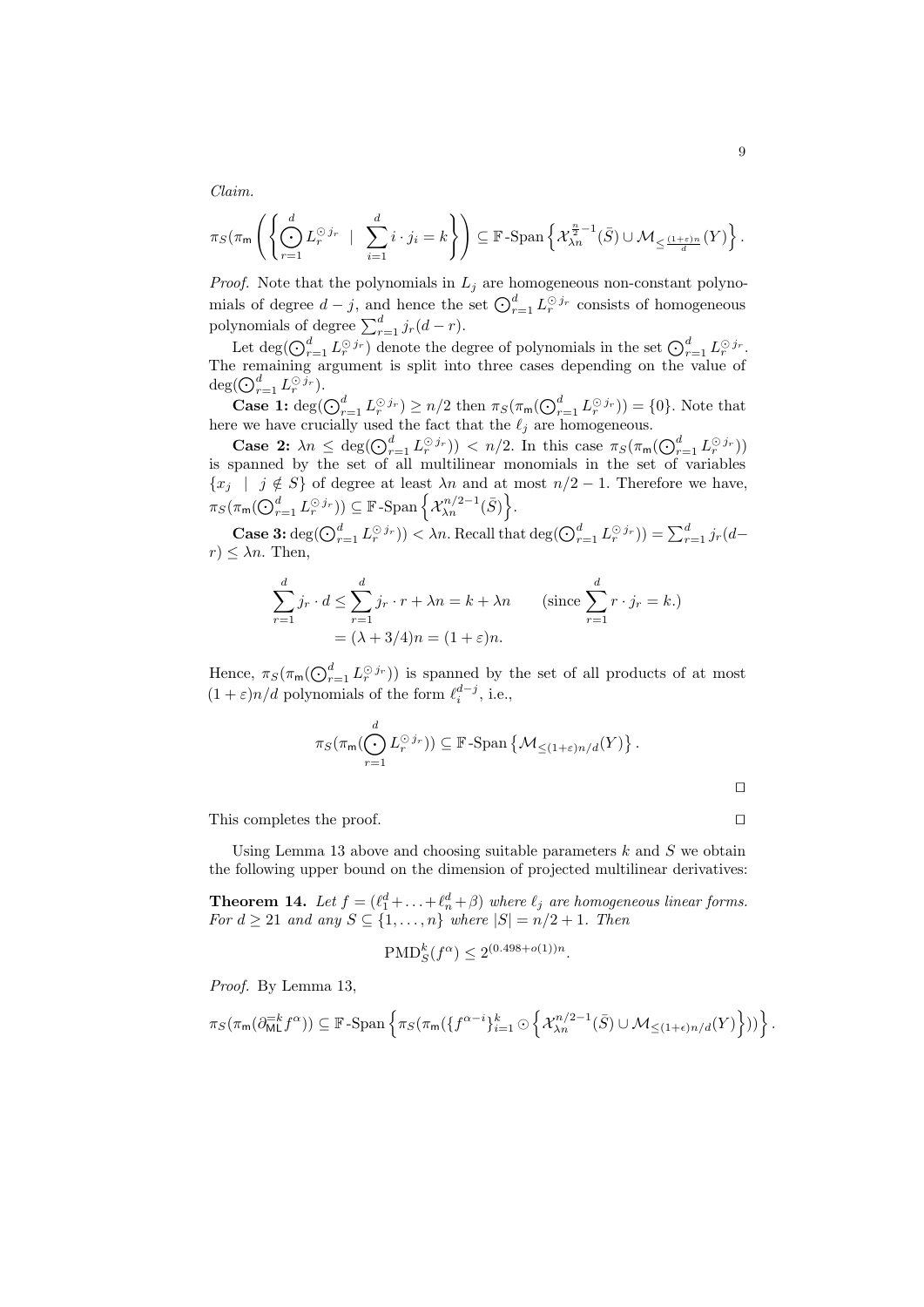Claim.

$$
\pi_S(\pi_m\left(\left\{\bigodot_{r=1}^d L_r^{\odot j_r} \mid \sum_{i=1}^d i \cdot j_i = k\right\}\right) \subseteq \mathbb{F}\text{-Span}\left\{\mathcal{X}_{\lambda n}^{\frac{n}{2}-1}(\bar{S}) \cup \mathcal{M}_{\leq \frac{(1+\varepsilon)n}{d}}(Y)\right\}.
$$

*Proof.* Note that the polynomials in  $L_j$  are homogeneous non-constant polynomials of degree  $d-j$ , and hence the set  $\bigodot_{r=1}^{d} L_r^{\odot j_r}$  consists of homogeneous polynomials of degree  $\sum_{r=1}^{d} j_r(d-r)$ .

Let  $\deg(\bigodot_{r=1}^d L_r^{\odot j_r})$  denote the degree of polynomials in the set  $\bigodot_{r=1}^d L_r^{\odot j_r}$ . The remaining argument is split into three cases depending on the value of  $\deg(\bigodot_{r=1}^d L_r^{\odot \, \widecheck{j}_r}).$ 

**Case 1:**  $\deg(\bigodot_{r=1}^d L_r^{\odot j_r}) \geq n/2$  then  $\pi_S(\pi_m(\bigodot_{r=1}^d L_r^{\odot j_r})) = \{0\}$ . Note that here we have crucially used the fact that the  $\ell_j$  are homogeneous.

Case 2:  $\lambda n \leq \deg(\bigodot_{r=1}^d L_r^{\odot j_r}) < n/2$ . In this case  $\pi_S(\pi_m(\bigodot_{r=1}^d L_r^{\odot j_r}))$ is spanned by the set of all multilinear monomials in the set of variables  ${x_j \mid j \notin S}$  of degree at least  $\lambda n$  and at most  $n/2 - 1$ . Therefore we have,  $\pi_S(\pi_{\mathsf{m}}(\bigodot_{r=1}^d L_r^{\odot j_r})) \subseteq \mathbb{F}$ -Span $\left\{ \mathcal{X}_{\lambda n}^{n/2-1}(\bar{S}) \right\}$ .

**Case 3:**  $\deg(\bigodot_{r=1}^d L_r^{\odot j_r})$   $< \lambda_n$ . Recall that  $\deg(\bigodot_{r=1}^d L_r^{\odot j_r}) = \sum_{r=1}^d j_r(d-r)$  $r) \leq \lambda n$ . Then,

$$
\sum_{r=1}^{d} j_r \cdot d \le \sum_{r=1}^{d} j_r \cdot r + \lambda n = k + \lambda n \quad \text{(since } \sum_{r=1}^{d} r \cdot j_r = k.)
$$

$$
= (\lambda + 3/4)n = (1 + \varepsilon)n.
$$

Hence,  $\pi_S(\pi_{\mathsf{m}}(\bigodot_{r=1}^d L_r^{\odot j_r}))$  is spanned by the set of all products of at most  $(1+\varepsilon)n/d$  polynomials of the form  $\ell_i^{d-j}$ , i.e.,

$$
\pi_S(\pi_{\mathsf{m}}(\bigodot_{r=1}^d L_r^{\odot j_r})) \subseteq \mathbb{F}\text{-Span}\left\{\mathcal{M}_{\leq (1+\varepsilon)n/d}(Y)\right\}.
$$

This completes the proof.  $\Box$ 

Using Lemma [13](#page-6-2) above and choosing suitable parameters  $k$  and  $S$  we obtain the following upper bound on the dimension of projected multilinear derivatives:

<span id="page-8-0"></span>**Theorem 14.** Let  $f = (\ell_1^d + \ldots + \ell_n^d + \beta)$  where  $\ell_j$  are homogeneous linear forms. For  $d \geq 21$  and any  $S \subseteq \{1, \ldots, n\}$  where  $|S| = n/2 + 1$ . Then

$$
\text{PMD}_S^k(f^{\alpha}) \le 2^{(0.498 + o(1))n}.
$$

Proof. By Lemma [13,](#page-6-2)

$$
\pi_S(\pi_m(\partial_{\text{ML}}^{-k}f^{\alpha})) \subseteq \mathbb{F}\text{-Span}\left\{\pi_S(\pi_m(\lbrace f^{\alpha-i}\rbrace_{i=1}^k \odot \left\lbrace \mathcal{X}_{\lambda n}^{n/2-1}(\bar{S}) \cup \mathcal{M}_{\leq (1+\epsilon)n/d}(Y)\right\rbrace))\right\}.
$$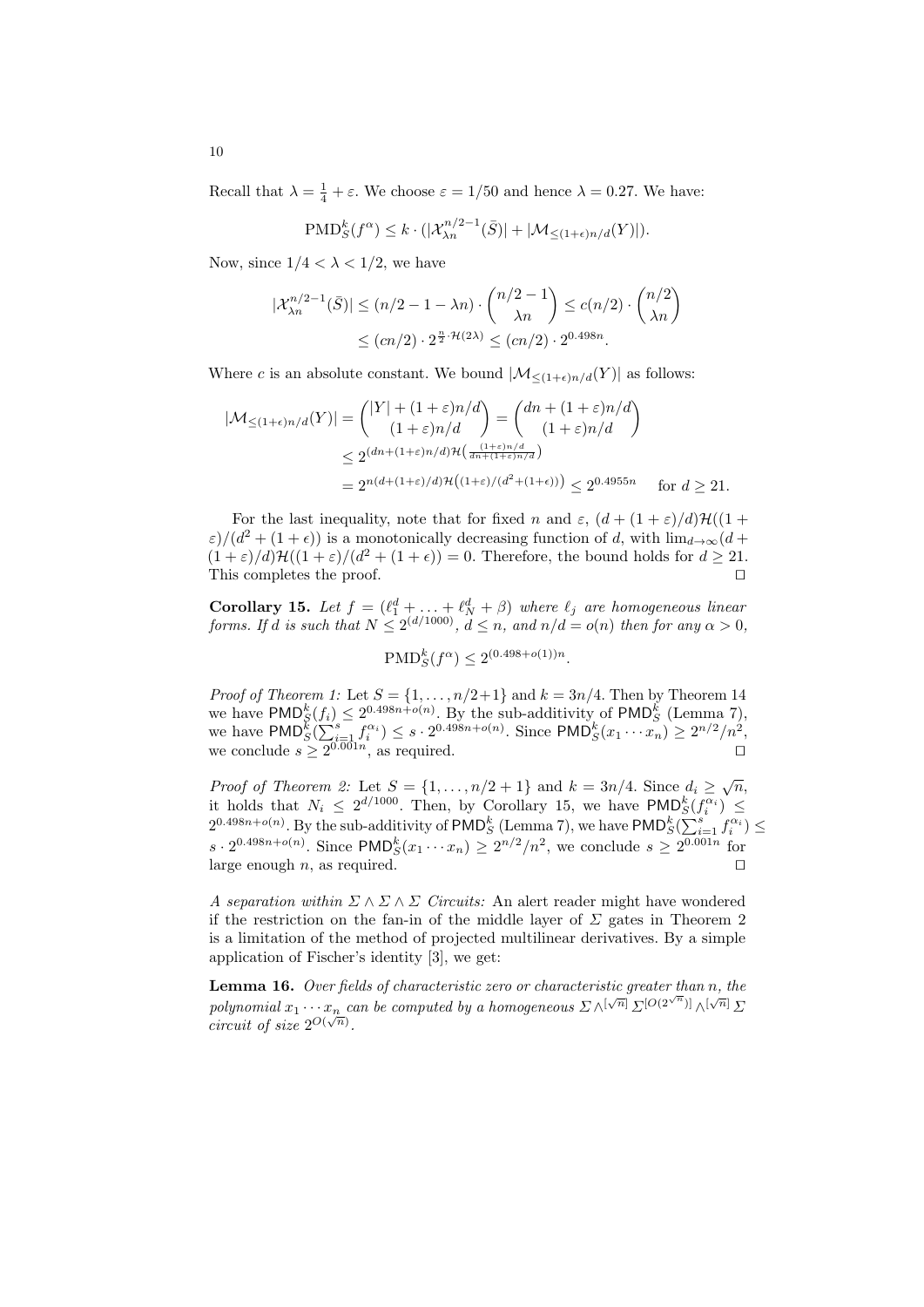Recall that  $\lambda = \frac{1}{4} + \varepsilon$ . We choose  $\varepsilon = 1/50$  and hence  $\lambda = 0.27$ . We have:

$$
\text{PMD}_{S}^{k}(f^{\alpha}) \leq k \cdot (|\mathcal{X}_{\lambda n}^{n/2-1}(\bar{S})| + |\mathcal{M}_{\leq (1+\epsilon)n/d}(Y)|).
$$

Now, since  $1/4 < \lambda < 1/2$ , we have

$$
|\mathcal{X}_{\lambda n}^{n/2-1}(\bar{S})| \le (n/2 - 1 - \lambda n) \cdot \binom{n/2 - 1}{\lambda n} \le c(n/2) \cdot \binom{n/2}{\lambda n}
$$
  
 
$$
\le (cn/2) \cdot 2^{\frac{n}{2} \cdot \mathcal{H}(2\lambda)} \le (cn/2) \cdot 2^{0.498n}.
$$

Where c is an absolute constant. We bound  $|\mathcal{M}_{\leq (1+\epsilon)n/d}(Y)|$  as follows:

$$
|\mathcal{M}_{\leq (1+\epsilon)n/d}(Y)| = { |Y| + (1+\epsilon)n/d \choose (1+\epsilon)n/d} = {dn + (1+\epsilon)n/d \choose (1+\epsilon)n/d}
$$
  

$$
\leq 2^{(dn + (1+\epsilon)n/d)\mathcal{H}\left(\frac{(1+\epsilon)n/d}{dn+(1+\epsilon)n/d}\right) \over \frac{1}{n+1} \cdot 2^{n} \cdot 2^{0.4955n}} \text{ for } d \geq 21.
$$

For the last inequality, note that for fixed n and  $\varepsilon$ ,  $(d + (1 + \varepsilon)/d)\mathcal{H}((1 +$  $\varepsilon$ / $(d^2 + (1 + \epsilon))$  is a monotonically decreasing function of d, with  $\lim_{d\to\infty}$  $(d +$  $(1+\varepsilon)/d\mathcal{H}((1+\varepsilon)/(d^2+(1+\epsilon))=0.$  Therefore, the bound holds for  $d \geq 21$ . This completes the proof.

<span id="page-9-1"></span>**Corollary 15.** Let  $f = (\ell_1^d + \ldots + \ell_N^d + \beta)$  where  $\ell_j$  are homogeneous linear forms. If d is such that  $N \leq 2^{(d/1000)}$ ,  $d \leq n$ , and  $n/d = o(n)$  then for any  $\alpha > 0$ ,

$$
\text{PMD}_{S}^{k}(f^{\alpha}) \le 2^{(0.498 + o(1))n}.
$$

*Proof of Theorem [1:](#page-2-0)* Let  $S = \{1, \ldots, n/2+1\}$  and  $k = 3n/4$ . Then by Theorem [14](#page-8-0) we have  $\text{PMD}_{S}^{k}(f_i) \leq 2^{0.498n+o(n)}$ . By the sub-additivity of  $\text{PMD}_{S}^{k}$  (Lemma [7\)](#page-5-1), we have  $\text{PMD}_{S}^{k}(\sum_{i=1}^{s} f_i^{\alpha_i}) \leq s \cdot 2^{0.498n + o(n)}$ . Since  $\text{PMD}_{S}^{k}(x_1 \cdots x_n) \geq 2^{n/2}/n^2$ , we conclude  $s \geq 2^{0.001n}$ , as required.

*Proof of Theorem [2:](#page-2-1)* Let  $S = \{1, ..., n/2 + 1\}$  and  $k = 3n/4$ . Since  $d_i \ge \sqrt{n}$ , it holds that  $N_i \leq 2^{d/1000}$ . Then, by Corollary [15,](#page-9-1) we have  $\text{PMD}_{S}^{k}(f_i^{\alpha_i}) \leq$  $2^{0.498n+o(n)}$ . By the sub-additivity of PMD<sup>k</sup><sub>S</sub> (Lemma [7\)](#page-5-1), we have PMD<sup>k</sup><sub>S</sub>( $\sum_{i=1}^{s} f_i^{\alpha_i}$ )  $\leq$  $s \cdot 2^{0.498n + o(n)}$ . Since PMD<sup>k</sup><sub>S</sub> $(x_1 \cdots x_n) \ge 2^{n/2}/n^2$ , we conclude  $s \ge 2^{0.001n}$  for large enough *n*, as required.  $\square$ 

A separation within  $\Sigma \wedge \Sigma \wedge \Sigma$  Circuits: An alert reader might have wondered if the restriction on the fan-in of the middle layer of  $\Sigma$  gates in Theorem [2](#page-2-1) is a limitation of the method of projected multilinear derivatives. By a simple application of Fischer's identity [\[3\]](#page-11-5), we get:

<span id="page-9-0"></span>**Lemma 16.** Over fields of characteristic zero or characteristic greater than  $n$ , the polynomial  $x_1 \cdots x_n$  can be computed by a homogeneous  $\sum \wedge [\sqrt{n}] \sum [O(2^{\sqrt{n}})] \wedge [\sqrt{n}] \sum$ potghomtal  $x_1 \cdots x_n$  contract  $x_1 \cdots x_n$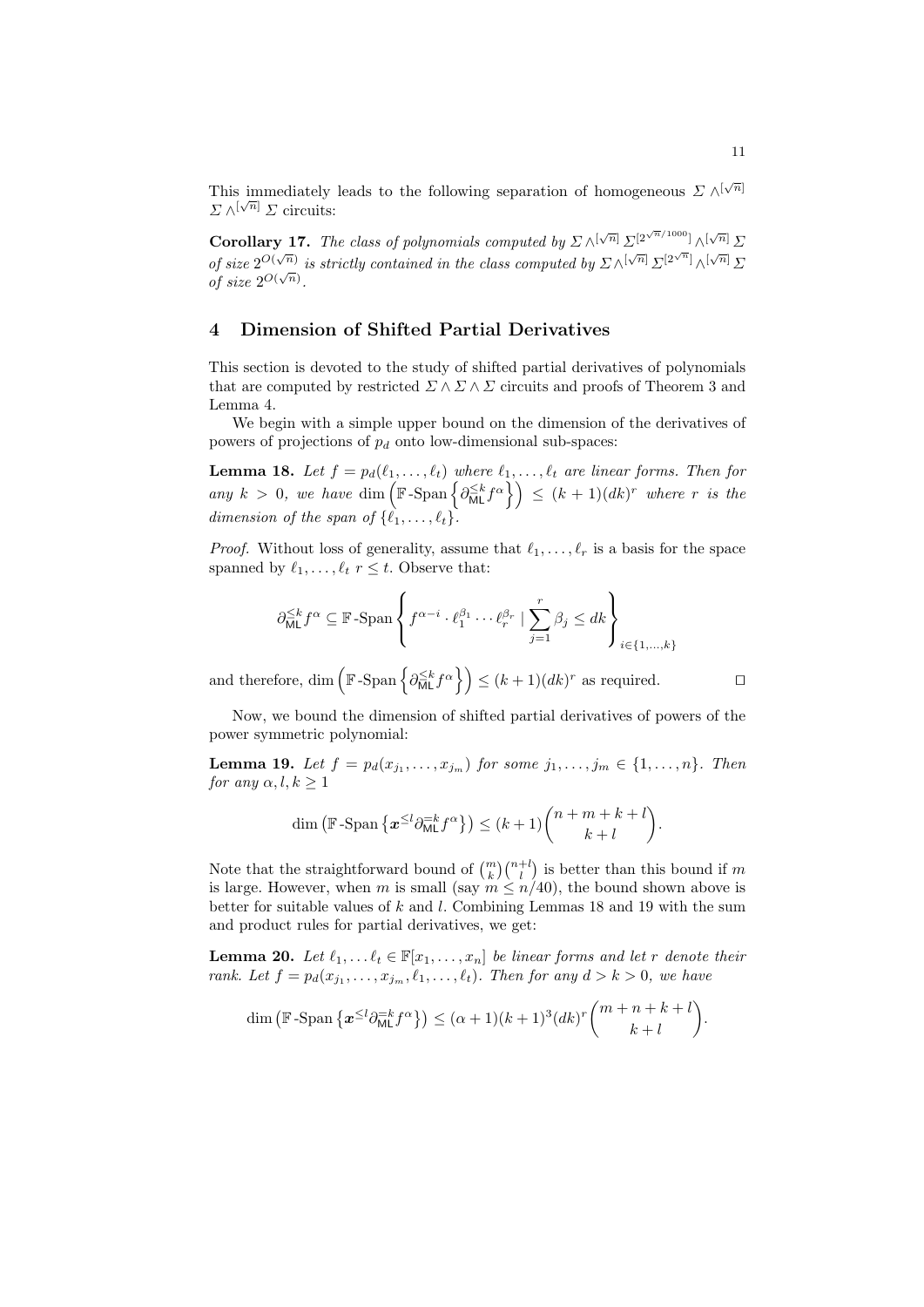This immediately leads to the following separation of homogeneous  $\Sigma \wedge^{[\sqrt{n}]}$  $\Sigma \wedge^{[\sqrt{n}]} \Sigma$  circuits:

**Corollary 17.** The class of polynomials computed by  $\sum \sqrt{[\sqrt{n}]} \sum [2^{\sqrt{n}/1000}] \sqrt{[\sqrt{n}]} \sum$ of size  $2^{O(\sqrt{n})}$  is strictly contained in the class computed by  $\sum \sqrt{N} \sum [\sqrt{n}] \sum [2^{\sqrt{n}}] \sqrt{N} \sum$ of size  $2^{O(\sqrt{n})}$ .

# <span id="page-10-0"></span>4 Dimension of Shifted Partial Derivatives

This section is devoted to the study of shifted partial derivatives of polynomials that are computed by restricted  $\Sigma \wedge \Sigma \wedge \Sigma$  circuits and proofs of Theorem [3](#page-2-2) and Lemma [4.](#page-3-0)

We begin with a simple upper bound on the dimension of the derivatives of powers of projections of  $p_d$  onto low-dimensional sub-spaces:

**Lemma 18.** Let  $f = p_d(\ell_1, \ldots, \ell_t)$  where  $\ell_1, \ldots, \ell_t$  are linear forms. Then for any  $k > 0$ , we have  $\dim \left( \mathbb{F}\text{-}\mathrm{Span}\left\{ \partial_{\text{ML}}^{\leq k} f^{\alpha} \right\} \right) \leq (k+1)(dk)^{r}$  where r is the dimension of the span of  $\{\ell_1, \ldots, \ell_t\}.$ 

*Proof.* Without loss of generality, assume that  $\ell_1, \ldots, \ell_r$  is a basis for the space spanned by  $\ell_1, \ldots, \ell_t$  r  $\leq t$ . Observe that:

$$
\partial_{\text{ML}}^{\leq k} f^{\alpha} \subseteq \mathbb{F}\text{-Span}\left\{ f^{\alpha - i} \cdot \ell_1^{\beta_1} \cdots \ell_r^{\beta_r} \mid \sum_{j=1}^r \beta_j \leq dk \right\}_{i \in \{1, \dots, k\}}
$$

and therefore, dim  $\left(\mathbb{F}\text{-}\mathrm{Span}\left\{\partial_{\text{ML}}^{\leq k}f^{\alpha}\right\}\right) \leq (k+1)(dk)^{r}$  as required.

Now, we bound the dimension of shifted partial derivatives of powers of the power symmetric polynomial:

**Lemma 19.** Let  $f = p_d(x_{j_1},...,x_{j_m})$  for some  $j_1,...,j_m \in \{1,...,n\}$ . Then for any  $\alpha, l, k > 1$ 

<span id="page-10-2"></span>
$$
\dim\left(\mathbb{F}\text{-Span}\left\{\boldsymbol{x}^{\leq l}\partial_{\text{ML}}^{-k}f^{\alpha}\right\}\right) \leq (k+1)\binom{n+m+k+l}{k+l}.
$$

Note that the straightforward bound of  $\binom{m}{k}\binom{n+l}{l}$  is better than this bound if m is large. However, when m is small (say  $m \leq n/40$ ), the bound shown above is better for suitable values of  $k$  and  $l$ . Combining Lemmas [18](#page-10-1) and [19](#page-10-2) with the sum and product rules for partial derivatives, we get:

<span id="page-10-3"></span>**Lemma 20.** Let  $\ell_1, \ldots \ell_t \in \mathbb{F}[x_1, \ldots, x_n]$  be linear forms and let r denote their rank. Let  $f = p_d(x_{j_1}, \ldots, x_{j_m}, \ell_1, \ldots, \ell_t)$ . Then for any  $d > k > 0$ , we have

$$
\dim\left(\mathbb{F}\text{-}\mathrm{Span}\left\{\boldsymbol{x}^{\leq l}\partial_{\text{ML}}^{-k}f^{\alpha}\right\}\right) \leq (\alpha+1)(k+1)^{3}(dk)^{r}\binom{m+n+k+l}{k+l}.
$$

<span id="page-10-1"></span>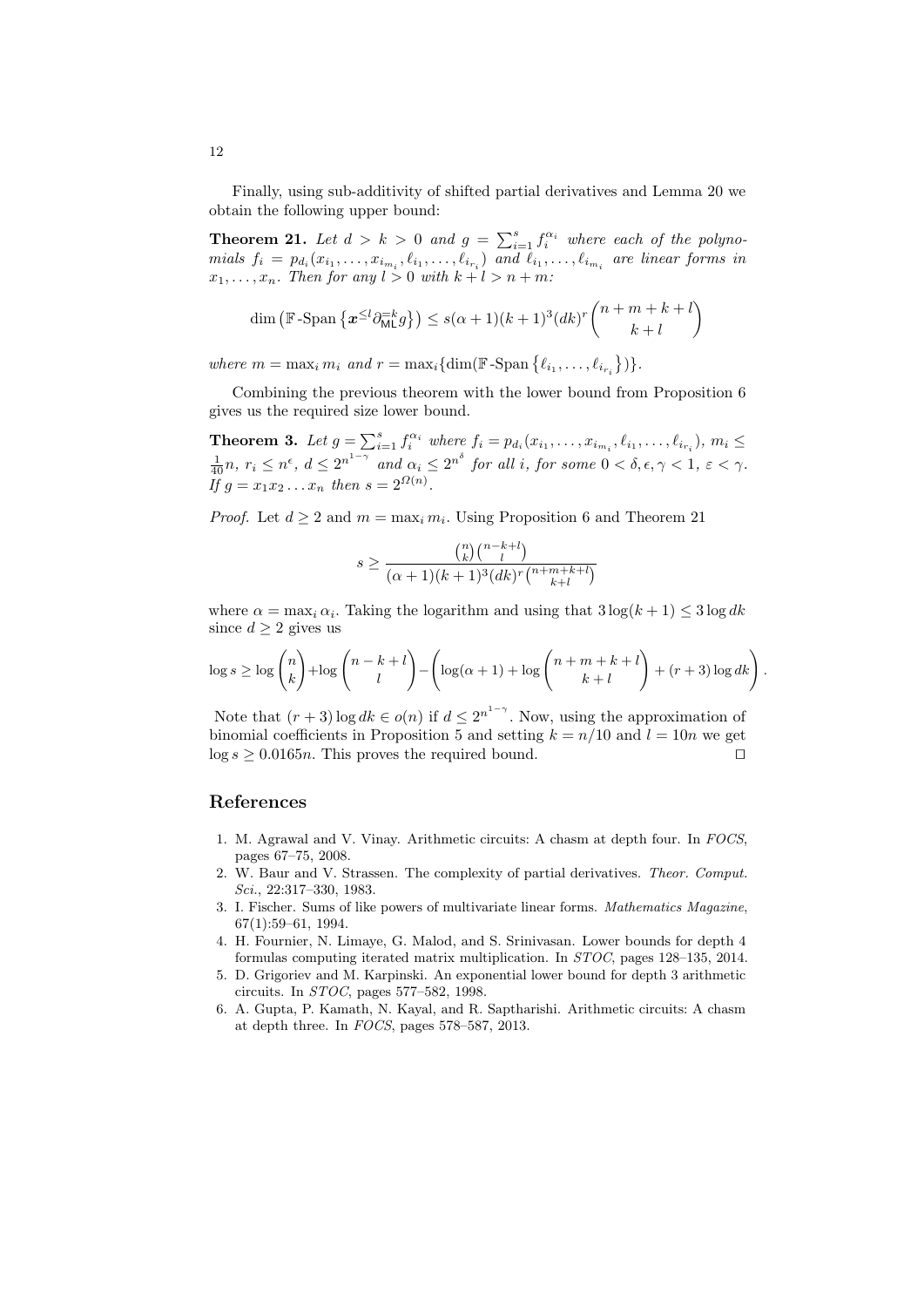Finally, using sub-additivity of shifted partial derivatives and Lemma [20](#page-10-3) we obtain the following upper bound:

**Theorem 21.** Let  $d > k > 0$  and  $g = \sum_{i=1}^{s} f_i^{\alpha_i}$  where each of the polynomials  $f_i = p_{d_i}(x_{i_1}, \ldots, x_{i_{m_i}}, \ell_{i_1}, \ldots, \ell_{i_{r_i}})$  and  $\ell_{i_1}, \ldots, \ell_{i_{m_i}}$  are linear forms in  $x_1, \ldots, x_n$ . Then for any  $l > 0$  with  $k + l > n + m$ .

<span id="page-11-6"></span>
$$
\dim \left( \mathbb{F}\text{-Span}\left\{ \boldsymbol{x}^{\leq l} \partial_{\text{ML}}^{-k} g \right\} \right) \leq s(\alpha+1)(k+1)^3 (dk)^r {n+m+k+l \choose k+l}
$$

where  $m = \max_i m_i$  and  $r = \max_i \{ \dim(\mathbb{F} - \text{Span} \{ \ell_{i_1}, \ldots, \ell_{i_{r_i}} \}) \}.$ 

Combining the previous theorem with the lower bound from Proposition [6](#page-4-0) gives us the required size lower bound.

**Theorem 3.** Let  $g = \sum_{i=1}^{s} f_i^{\alpha_i}$  where  $f_i = p_{d_i}(x_{i_1}, \ldots, x_{i_{m_i}}, \ell_{i_1}, \ldots, \ell_{i_{r_i}}), m_i \leq$  $\frac{1}{40}n, r_i \leq n^{\epsilon}, d \leq 2^{n^{1-\gamma}}$  and  $\alpha_i \leq 2^{n^{\delta}}$  for all i, for some  $0 < \delta, \epsilon, \gamma < 1, \epsilon < \gamma$ . If  $g = x_1 x_2 ... x_n$  then  $s = 2^{\Omega(n)}$ .

*Proof.* Let  $d \geq 2$  and  $m = \max_i m_i$ . Using Proposition [6](#page-4-0) and Theorem [21](#page-11-6)

$$
s \ge \frac{\binom{n}{k} \binom{n-k+l}{l}}{(\alpha+1)(k+1)^3 (dk)^r \binom{n+m+k+l}{k+l}}
$$

where  $\alpha = \max_i \alpha_i$ . Taking the logarithm and using that  $3 \log(k+1) \leq 3 \log dk$ since  $d \geq 2$  gives us

$$
\log s \ge \log \binom{n}{k} + \log \binom{n-k+l}{l} - \left(\log(\alpha+1) + \log \binom{n+m+k+l}{k+l} + (r+3)\log dk\right).
$$

Note that  $(r+3) \log dk \in o(n)$  if  $d \leq 2^{n^{1-\gamma}}$ . Now, using the approximation of binomial coefficients in Proposition [5](#page-3-1) and setting  $k = n/10$  and  $l = 10n$  we get  $\log s \geq 0.0165n$ . This proves the required bound.

### References

- <span id="page-11-2"></span>1. M. Agrawal and V. Vinay. Arithmetic circuits: A chasm at depth four. In FOCS, pages 67–75, 2008.
- <span id="page-11-0"></span>2. W. Baur and V. Strassen. The complexity of partial derivatives. Theor. Comput. Sci., 22:317–330, 1983.
- <span id="page-11-5"></span>3. I. Fischer. Sums of like powers of multivariate linear forms. Mathematics Magazine, 67(1):59–61, 1994.
- <span id="page-11-4"></span>4. H. Fournier, N. Limaye, G. Malod, and S. Srinivasan. Lower bounds for depth 4 formulas computing iterated matrix multiplication. In STOC, pages 128–135, 2014.
- <span id="page-11-1"></span>5. D. Grigoriev and M. Karpinski. An exponential lower bound for depth 3 arithmetic circuits. In STOC, pages 577–582, 1998.
- <span id="page-11-3"></span>6. A. Gupta, P. Kamath, N. Kayal, and R. Saptharishi. Arithmetic circuits: A chasm at depth three. In FOCS, pages 578–587, 2013.

12